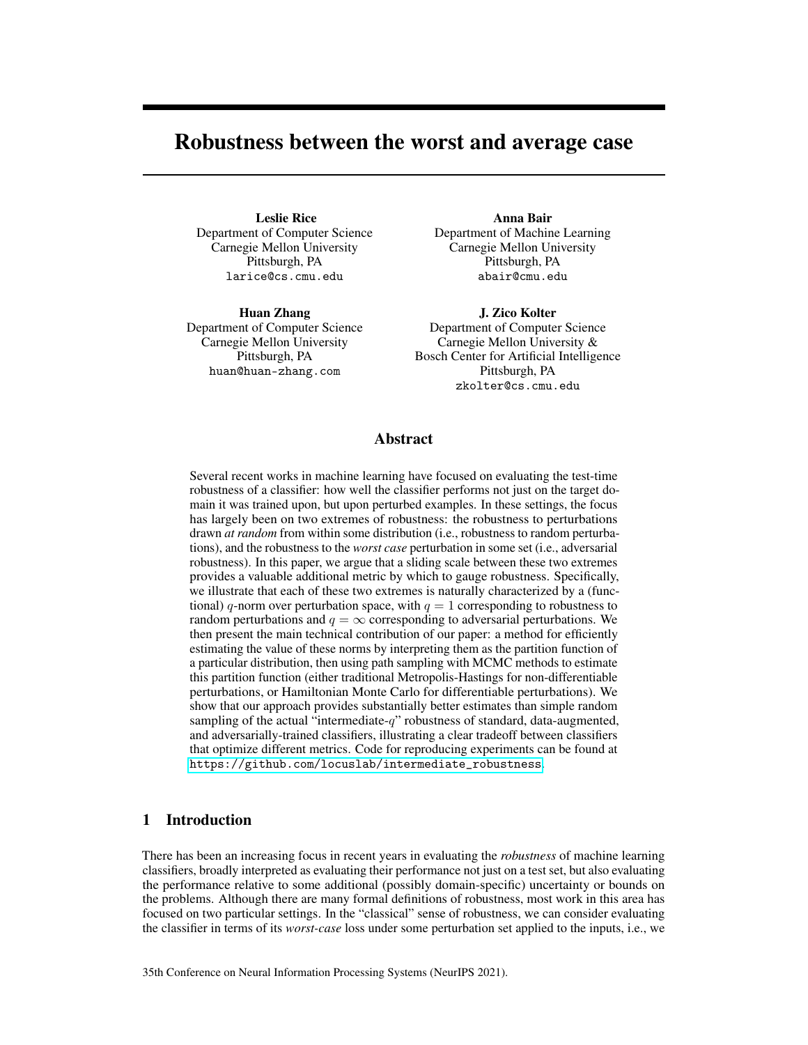# Robustness between the worst and average case

Leslie Rice Department of Computer Science Carnegie Mellon University Pittsburgh, PA larice@cs.cmu.edu

Huan Zhang Department of Computer Science Carnegie Mellon University Pittsburgh, PA huan@huan-zhang.com

Anna Bair Department of Machine Learning Carnegie Mellon University Pittsburgh, PA abair@cmu.edu

J. Zico Kolter Department of Computer Science Carnegie Mellon University & Bosch Center for Artificial Intelligence Pittsburgh, PA zkolter@cs.cmu.edu

## Abstract

Several recent works in machine learning have focused on evaluating the test-time robustness of a classifier: how well the classifier performs not just on the target domain it was trained upon, but upon perturbed examples. In these settings, the focus has largely been on two extremes of robustness: the robustness to perturbations drawn *at random* from within some distribution (i.e., robustness to random perturbations), and the robustness to the *worst case* perturbation in some set (i.e., adversarial robustness). In this paper, we argue that a sliding scale between these two extremes provides a valuable additional metric by which to gauge robustness. Specifically, we illustrate that each of these two extremes is naturally characterized by a (functional) *q*-norm over perturbation space, with  $q = 1$  corresponding to robustness to random perturbations and  $q = \infty$  corresponding to adversarial perturbations. We then present the main technical contribution of our paper: a method for efficiently estimating the value of these norms by interpreting them as the partition function of a particular distribution, then using path sampling with MCMC methods to estimate this partition function (either traditional Metropolis-Hastings for non-differentiable perturbations, or Hamiltonian Monte Carlo for differentiable perturbations). We show that our approach provides substantially better estimates than simple random sampling of the actual "intermediate-*q*" robustness of standard, data-augmented, and adversarially-trained classifiers, illustrating a clear tradeoff between classifiers that optimize different metrics. Code for reproducing experiments can be found at https://github.com/locuslab/intermediate\_robustness.

# 1 Introduction

There has been an increasing focus in recent years in evaluating the *robustness* of machine learning classifiers, broadly interpreted as evaluating their performance not just on a test set, but also evaluating the performance relative to some additional (possibly domain-specific) uncertainty or bounds on the problems. Although there are many formal definitions of robustness, most work in this area has focused on two particular settings. In the "classical" sense of robustness, we can consider evaluating the classifier in terms of its *worst-case* loss under some perturbation set applied to the inputs, i.e., we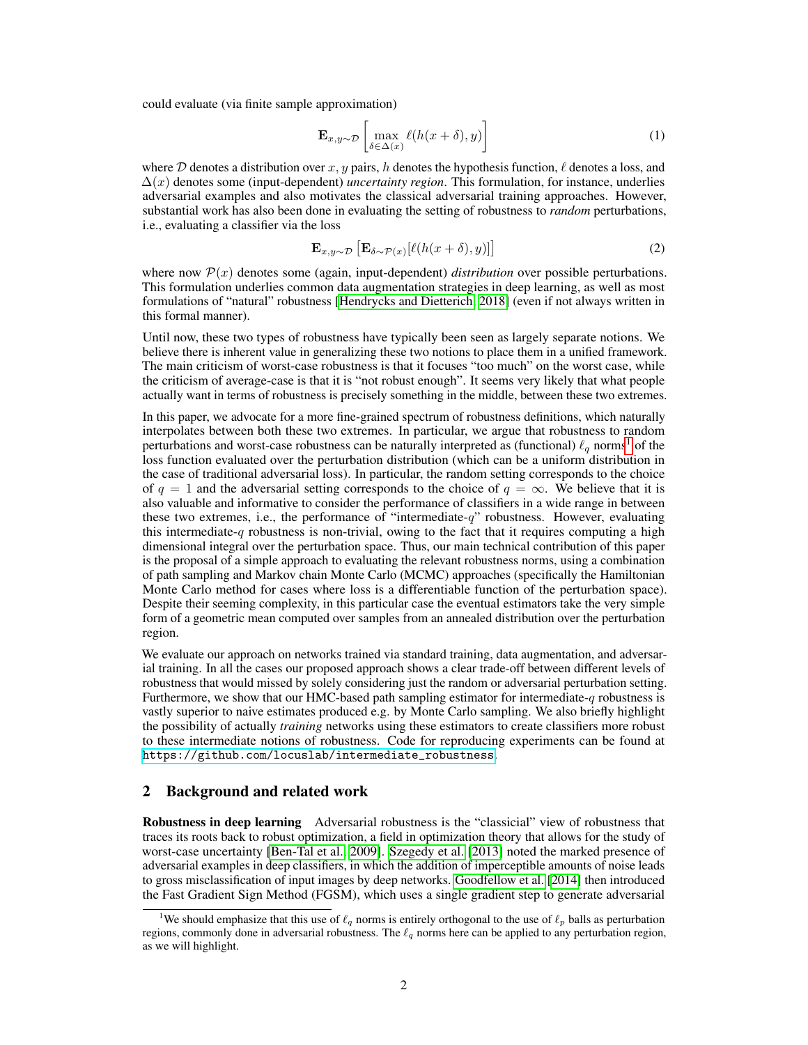could evaluate (via finite sample approximation)

$$
\mathbf{E}_{x,y \sim \mathcal{D}} \left[ \max_{\delta \in \Delta(x)} \ell(h(x+\delta), y) \right] \tag{1}
$$

where  $D$  denotes a distribution over  $x, y$  pairs, *h* denotes the hypothesis function,  $\ell$  denotes a loss, and  $\Delta(x)$  denotes some (input-dependent) *uncertainty region*. This formulation, for instance, underlies adversarial examples and also motivates the classical adversarial training approaches. However, substantial work has also been done in evaluating the setting of robustness to *random* perturbations, i.e., evaluating a classifier via the loss

$$
\mathbf{E}_{x,y \sim \mathcal{D}} \left[ \mathbf{E}_{\delta \sim \mathcal{P}(x)} [\ell(h(x+\delta), y)] \right]
$$
 (2)

where now  $P(x)$  denotes some (again, input-dependent) *distribution* over possible perturbations. This formulation underlies common data augmentation strategies in deep learning, as well as most formulations of "natural" robustness [Hendrycks and Dietterich, 2018] (even if not always written in this formal manner).

Until now, these two types of robustness have typically been seen as largely separate notions. We believe there is inherent value in generalizing these two notions to place them in a unified framework. The main criticism of worst-case robustness is that it focuses "too much" on the worst case, while the criticism of average-case is that it is "not robust enough". It seems very likely that what people actually want in terms of robustness is precisely something in the middle, between these two extremes.

In this paper, we advocate for a more fine-grained spectrum of robustness definitions, which naturally interpolates between both these two extremes. In particular, we argue that robustness to random perturbations and worst-case robustness can be naturally interpreted as (functional)  $\ell_q$  norms<sup>1</sup> of the loss function evaluated over the perturbation distribution (which can be a uniform distribution in the case of traditional adversarial loss). In particular, the random setting corresponds to the choice of  $q = 1$  and the adversarial setting corresponds to the choice of  $q = \infty$ . We believe that it is also valuable and informative to consider the performance of classifiers in a wide range in between these two extremes, i.e., the performance of "intermediate-*q*" robustness. However, evaluating this intermediate-*q* robustness is non-trivial, owing to the fact that it requires computing a high dimensional integral over the perturbation space. Thus, our main technical contribution of this paper is the proposal of a simple approach to evaluating the relevant robustness norms, using a combination of path sampling and Markov chain Monte Carlo (MCMC) approaches (specifically the Hamiltonian Monte Carlo method for cases where loss is a differentiable function of the perturbation space). Despite their seeming complexity, in this particular case the eventual estimators take the very simple form of a geometric mean computed over samples from an annealed distribution over the perturbation region.

We evaluate our approach on networks trained via standard training, data augmentation, and adversarial training. In all the cases our proposed approach shows a clear trade-off between different levels of robustness that would missed by solely considering just the random or adversarial perturbation setting. Furthermore, we show that our HMC-based path sampling estimator for intermediate-*q* robustness is vastly superior to naive estimates produced e.g. by Monte Carlo sampling. We also briefly highlight the possibility of actually *training* networks using these estimators to create classifiers more robust to these intermediate notions of robustness. Code for reproducing experiments can be found at https://github.com/locuslab/intermediate\_robustness.

## 2 Background and related work

Robustness in deep learning Adversarial robustness is the "classicial" view of robustness that traces its roots back to robust optimization, a field in optimization theory that allows for the study of worst-case uncertainty **[Ben-Tal et al., 2009].** Szegedy et al. **[2013]** noted the marked presence of adversarial examples in deep classifiers, in which the addition of imperceptible amounts of noise leads to gross misclassification of input images by deep networks. Goodfellow et al. [2014] then introduced the Fast Gradient Sign Method (FGSM), which uses a single gradient step to generate adversarial

<sup>&</sup>lt;sup>1</sup>We should emphasize that this use of  $\ell_q$  norms is entirely orthogonal to the use of  $\ell_p$  balls as perturbation regions, commonly done in adversarial robustness. The  $\ell_q$  norms here can be applied to any perturbation region, as we will highlight.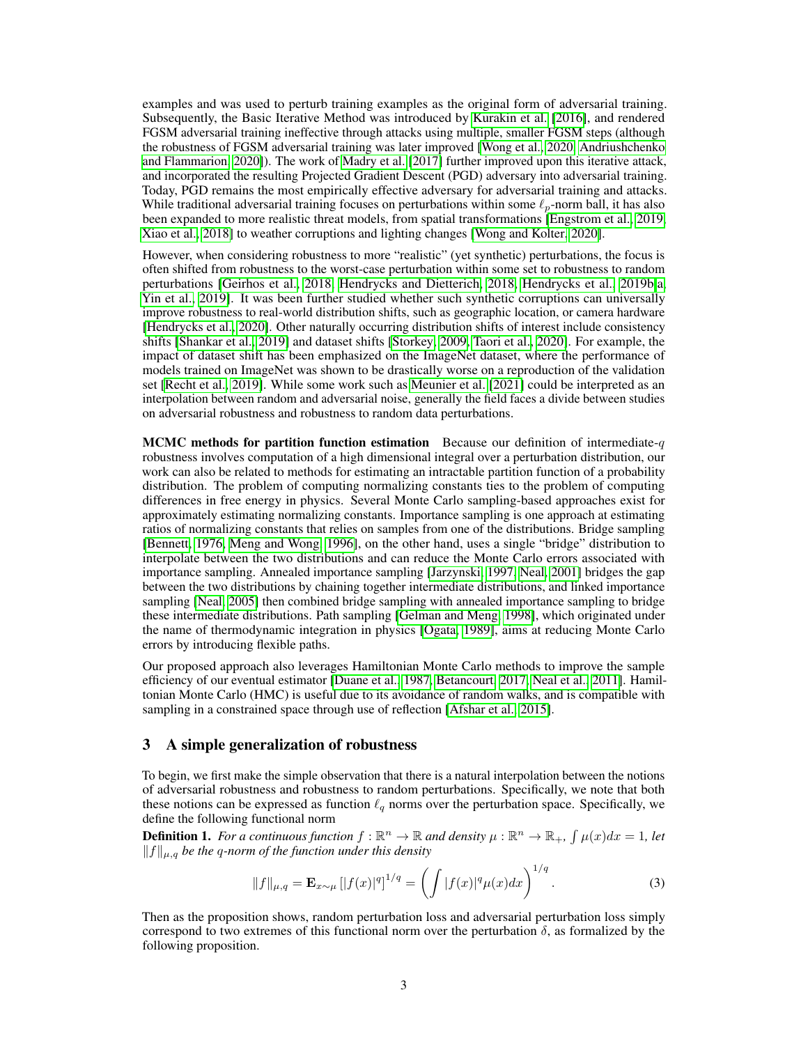examples and was used to perturb training examples as the original form of adversarial training. Subsequently, the Basic Iterative Method was introduced by *Kurakin et al.* [2016], and rendered FGSM adversarial training ineffective through attacks using multiple, smaller FGSM steps (although the robustness of FGSM adversarial training was later improved [Wong et al., 2020] Andriushchenko and Flammarion, 2020]). The work of Madry et al. [2017] further improved upon this iterative attack, and incorporated the resulting Projected Gradient Descent (PGD) adversary into adversarial training. Today, PGD remains the most empirically effective adversary for adversarial training and attacks. While traditional adversarial training focuses on perturbations within some  $\ell_p$ -norm ball, it has also been expanded to more realistic threat models, from spatial transformations **[Engstrom et al.**, 2019] Xiao et al. 2018] to weather corruptions and lighting changes [Wong and Kolter|2020]

However, when considering robustness to more "realistic" (yet synthetic) perturbations, the focus is often shifted from robustness to the worst-case perturbation within some set to robustness to random perturbations Geirhos et al., 2018, Hendrycks and Dietterich, 2018, Hendrycks et al., 2019b, a, Yin et al., 2019]. It was been further studied whether such synthetic corruptions can universally improve robustness to real-world distribution shifts, such as geographic location, or camera hardware [Hendrycks et al., 2020]. Other naturally occurring distribution shifts of interest include consistency shifts  $\left[\frac{\text{Shankar et al.}}{2019}\right]$  and dataset shifts  $\left[\frac{\text{Storkey}}{2009}\right]$  and  $\left[\frac{\text{ToR}}{2020}\right]$ . For example, the impact of dataset shift has been emphasized on the ImageNet dataset, where the performance of models trained on ImageNet was shown to be drastically worse on a reproduction of the validation set [Recht et al., 2019]. While some work such as Meunier et al. [2021] could be interpreted as an interpolation between random and adversarial noise, generally the field faces a divide between studies on adversarial robustness and robustness to random data perturbations.

MCMC methods for partition function estimation Because our definition of intermediate-*q* robustness involves computation of a high dimensional integral over a perturbation distribution, our work can also be related to methods for estimating an intractable partition function of a probability distribution. The problem of computing normalizing constants ties to the problem of computing differences in free energy in physics. Several Monte Carlo sampling-based approaches exist for approximately estimating normalizing constants. Importance sampling is one approach at estimating ratios of normalizing constants that relies on samples from one of the distributions. Bridge sampling [Bennett, 1976, Meng and Wong, 1996], on the other hand, uses a single "bridge" distribution to interpolate between the two distributions and can reduce the Monte Carlo errors associated with importance sampling. Annealed importance sampling *[Jarzynski*] 1997, Neal, 2001] bridges the gap between the two distributions by chaining together intermediate distributions, and linked importance sampling **[Neal, 2005]** then combined bridge sampling with annealed importance sampling to bridge these intermediate distributions. Path sampling [Gelman and Meng, 1998], which originated under the name of thermodynamic integration in physics [Ogata, 1989], aims at reducing Monte Carlo errors by introducing flexible paths.

Our proposed approach also leverages Hamiltonian Monte Carlo methods to improve the sample efficiency of our eventual estimator **[Duane et al., 1987, Betancourt, 2017, Neal et al., 2011**]. Hamiltonian Monte Carlo (HMC) is useful due to its avoidance of random walks, and is compatible with sampling in a constrained space through use of reflection **Afshar et al.** 2015.

## 3 A simple generalization of robustness

To begin, we first make the simple observation that there is a natural interpolation between the notions of adversarial robustness and robustness to random perturbations. Specifically, we note that both these notions can be expressed as function  $\ell_q$  norms over the perturbation space. Specifically, we define the following functional norm

**Definition 1.** For a continuous function  $f : \mathbb{R}^n \to \mathbb{R}$  and density  $\mu : \mathbb{R}^n \to \mathbb{R}_+$ ,  $\int \mu(x) dx = 1$ , let  $||f||_{\mu,q}$  *be the q-norm of the function under this density* 

$$
||f||_{\mu,q} = \mathbf{E}_{x \sim \mu} [|f(x)|^q]^{1/q} = \left( \int |f(x)|^q \mu(x) dx \right)^{1/q}.
$$
 (3)

Then as the proposition shows, random perturbation loss and adversarial perturbation loss simply correspond to two extremes of this functional norm over the perturbation  $\delta$ , as formalized by the following proposition.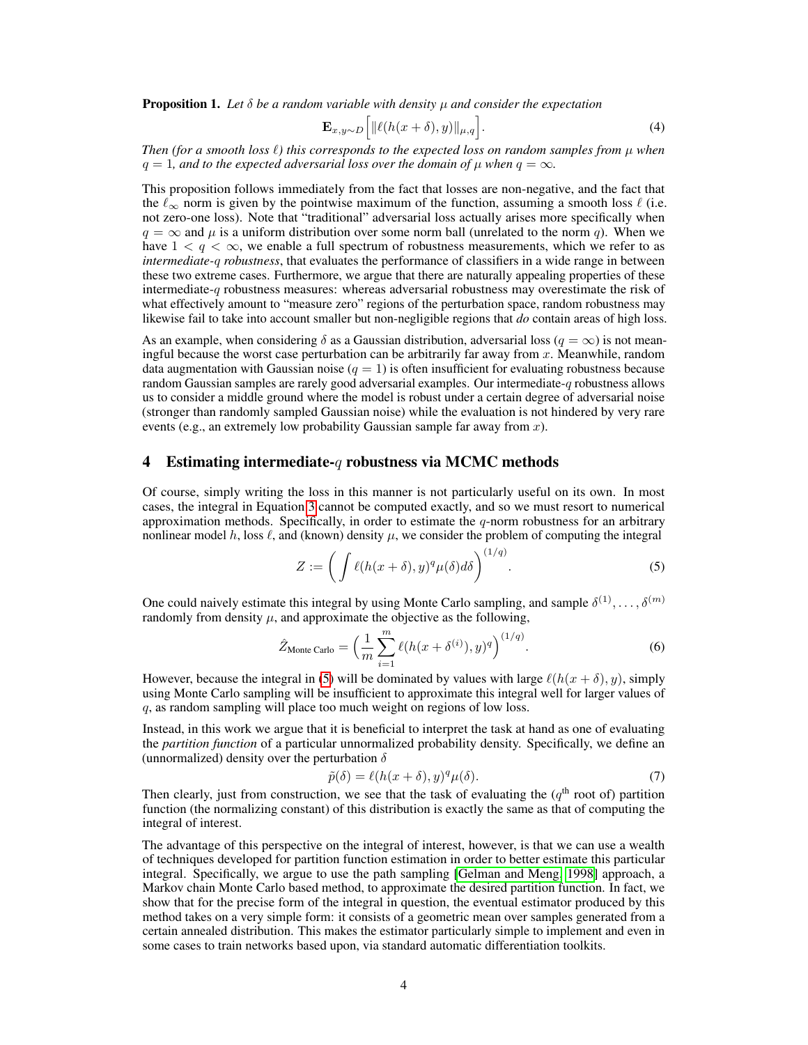**Proposition 1.** Let  $\delta$  be a random variable with density  $\mu$  and consider the expectation

$$
\mathbf{E}_{x,y \sim D} \left[ \|\ell(h(x+\delta),y)\|_{\mu,q} \right]. \tag{4}
$$

*Then (for a smooth loss*  $\ell$ ) this corresponds to the expected loss on random samples from  $\mu$  when  $q = 1$ *, and to the expected adversarial loss over the domain of*  $\mu$  *when*  $q = \infty$ *.* 

This proposition follows immediately from the fact that losses are non-negative, and the fact that the  $\ell_{\infty}$  norm is given by the pointwise maximum of the function, assuming a smooth loss  $\ell$  (i.e. not zero-one loss). Note that "traditional" adversarial loss actually arises more specifically when  $q = \infty$  and  $\mu$  is a uniform distribution over some norm ball (unrelated to the norm *q*). When we have  $1 < q < \infty$ , we enable a full spectrum of robustness measurements, which we refer to as *intermediate-q robustness*, that evaluates the performance of classifiers in a wide range in between these two extreme cases. Furthermore, we argue that there are naturally appealing properties of these intermediate-*q* robustness measures: whereas adversarial robustness may overestimate the risk of what effectively amount to "measure zero" regions of the perturbation space, random robustness may likewise fail to take into account smaller but non-negligible regions that *do* contain areas of high loss.

As an example, when considering  $\delta$  as a Gaussian distribution, adversarial loss ( $q = \infty$ ) is not meaningful because the worst case perturbation can be arbitrarily far away from *x*. Meanwhile, random data augmentation with Gaussian noise  $(q = 1)$  is often insufficient for evaluating robustness because random Gaussian samples are rarely good adversarial examples. Our intermediate-*q* robustness allows us to consider a middle ground where the model is robust under a certain degree of adversarial noise (stronger than randomly sampled Gaussian noise) while the evaluation is not hindered by very rare events (e.g., an extremely low probability Gaussian sample far away from *x*).

### 4 Estimating intermediate-*q* robustness via MCMC methods

Of course, simply writing the loss in this manner is not particularly useful on its own. In most cases, the integral in Equation  $\beta$  cannot be computed exactly, and so we must resort to numerical approximation methods. Specifically, in order to estimate the  $q$ -norm robustness for an arbitrary nonlinear model  $h$ , loss  $\ell$ , and (known) density  $\mu$ , we consider the problem of computing the integral

$$
Z := \left( \int \ell(h(x+\delta), y)^q \mu(\delta) d\delta \right)^{(1/q)}.
$$
 (5)

One could naively estimate this integral by using Monte Carlo sampling, and sample  $\delta^{(1)}, \ldots, \delta^{(m)}$ randomly from density  $\mu$ , and approximate the objective as the following,

$$
\hat{Z}_{\text{Monte Carlo}} = \left(\frac{1}{m} \sum_{i=1}^{m} \ell(h(x + \delta^{(i)}), y)^q\right)^{(1/q)}.
$$
 (6)

However, because the integral in  $\overline{\{5\}}$  will be dominated by values with large  $\ell(h(x + \delta), y)$ , simply using Monte Carlo sampling will be insufficient to approximate this integral well for larger values of *q*, as random sampling will place too much weight on regions of low loss.

Instead, in this work we argue that it is beneficial to interpret the task at hand as one of evaluating the *partition function* of a particular unnormalized probability density. Specifically, we define an (unnormalized) density over the perturbation  $\delta$ 

$$
\tilde{p}(\delta) = \ell(h(x+\delta), y)^q \mu(\delta). \tag{7}
$$

Then clearly, just from construction, we see that the task of evaluating the  $(q<sup>th</sup>$  root of) partition function (the normalizing constant) of this distribution is exactly the same as that of computing the integral of interest.

The advantage of this perspective on the integral of interest, however, is that we can use a wealth of techniques developed for partition function estimation in order to better estimate this particular integral. Specifically, we argue to use the path sampling **[Gelman and Meng, 1998**] approach, a Markov chain Monte Carlo based method, to approximate the desired partition function. In fact, we show that for the precise form of the integral in question, the eventual estimator produced by this method takes on a very simple form: it consists of a geometric mean over samples generated from a certain annealed distribution. This makes the estimator particularly simple to implement and even in some cases to train networks based upon, via standard automatic differentiation toolkits.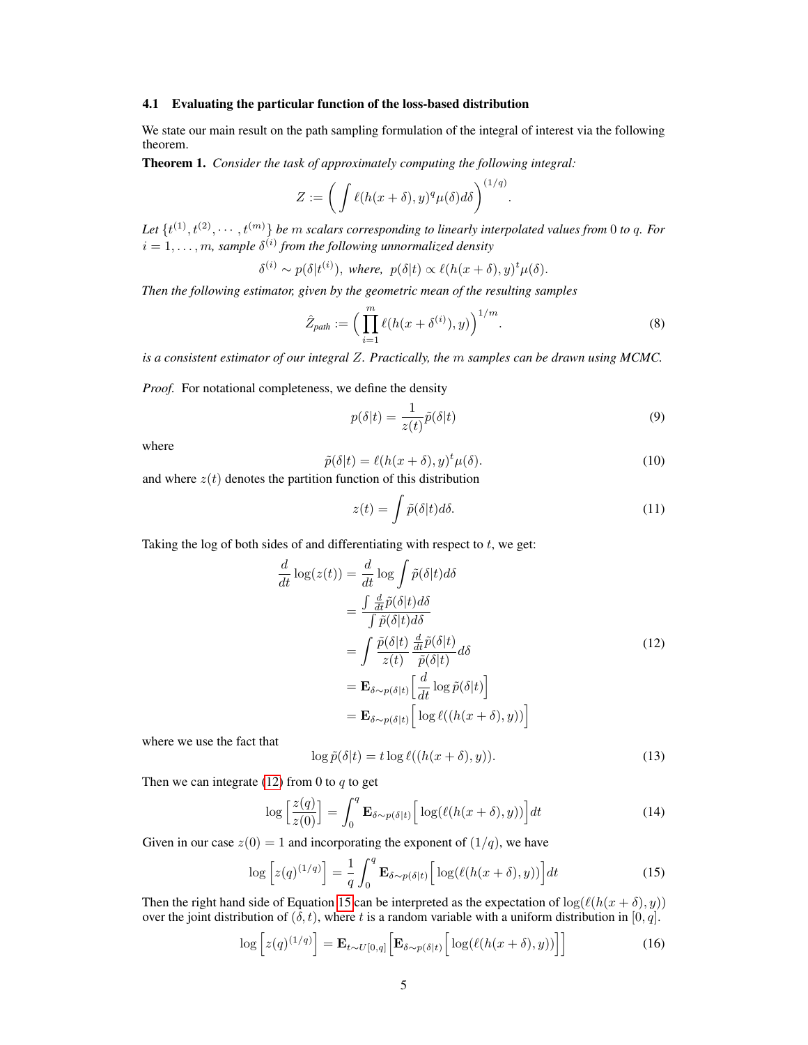#### 4.1 Evaluating the particular function of the loss-based distribution

We state our main result on the path sampling formulation of the integral of interest via the following theorem.

Theorem 1. *Consider the task of approximately computing the following integral:*

$$
Z := \left( \int \ell(h(x+\delta),y)^q \mu(\delta) d\delta \right)^{(1/q)}.
$$

Let  $\{t^{(1)}, t^{(2)}, \cdots, t^{(m)}\}$  *be m* scalars corresponding to linearly interpolated values from 0 to q. For  $i = 1, \ldots, m$ *, sample*  $\delta^{(i)}$  *from the following unnormalized density* 

$$
\delta^{(i)} \sim p(\delta|t^{(i)}), \text{ where, } p(\delta|t) \propto \ell(h(x+\delta), y)^t \mu(\delta).
$$

*Then the following estimator, given by the geometric mean of the resulting samples*

$$
\hat{Z}_{path} := \left(\prod_{i=1}^{m} \ell(h(x + \delta^{(i)}), y)\right)^{1/m}.\tag{8}
$$

*is a consistent estimator of our integral Z. Practically, the m samples can be drawn using MCMC.*

*Proof.* For notational completeness, we define the density

$$
p(\delta|t) = \frac{1}{z(t)}\tilde{p}(\delta|t)
$$
\n(9)

where

$$
\tilde{p}(\delta|t) = \ell(h(x+\delta), y)^t \mu(\delta).
$$
\n(10)

and where  $z(t)$  denotes the partition function of this distribution

$$
z(t) = \int \tilde{p}(\delta|t) d\delta. \tag{11}
$$

Taking the log of both sides of and differentiating with respect to *t*, we get:

$$
\frac{d}{dt} \log(z(t)) = \frac{d}{dt} \log \int \tilde{p}(\delta|t) d\delta
$$
\n
$$
= \frac{\int \frac{d}{dt} \tilde{p}(\delta|t) d\delta}{\int \tilde{p}(\delta|t) d\delta}
$$
\n
$$
= \int \frac{\tilde{p}(\delta|t)}{z(t)} \frac{\frac{d}{dt} \tilde{p}(\delta|t)}{\tilde{p}(\delta|t)} d\delta
$$
\n
$$
= \mathbf{E}_{\delta \sim p(\delta|t)} \left[ \frac{d}{dt} \log \tilde{p}(\delta|t) \right]
$$
\n
$$
= \mathbf{E}_{\delta \sim p(\delta|t)} \left[ \log \ell((h(x + \delta), y)) \right]
$$
\n(12)

where we use the fact that

$$
\log \tilde{p}(\delta | t) = t \log \ell((h(x + \delta), y)). \tag{13}
$$

Then we can integrate  $(12)$  from 0 to *q* to get

$$
\log\left[\frac{z(q)}{z(0)}\right] = \int_0^q \mathbf{E}_{\delta \sim p(\delta|t)} \left[\log(\ell(h(x+\delta),y))\right] dt \tag{14}
$$

Given in our case  $z(0) = 1$  and incorporating the exponent of  $(1/q)$ , we have

$$
\log\left[z(q)^{(1/q)}\right] = \frac{1}{q} \int_0^q \mathbf{E}_{\delta \sim p(\delta|t)} \left[\log(\ell(h(x+\delta), y))\right] dt \tag{15}
$$

Then the right hand side of Equation  $\sqrt{15}$  can be interpreted as the expectation of  $\log(\ell(h(x + \delta), y))$ over the joint distribution of  $(\delta, t)$ , where *t* is a random variable with a uniform distribution in [0, q].

$$
\log\left[z(q)^{(1/q)}\right] = \mathbf{E}_{t \sim U[0,q]} \Big[\mathbf{E}_{\delta \sim p(\delta|t)} \Big[\log(\ell(h(x+\delta),y))\Big]\Big]
$$
(16)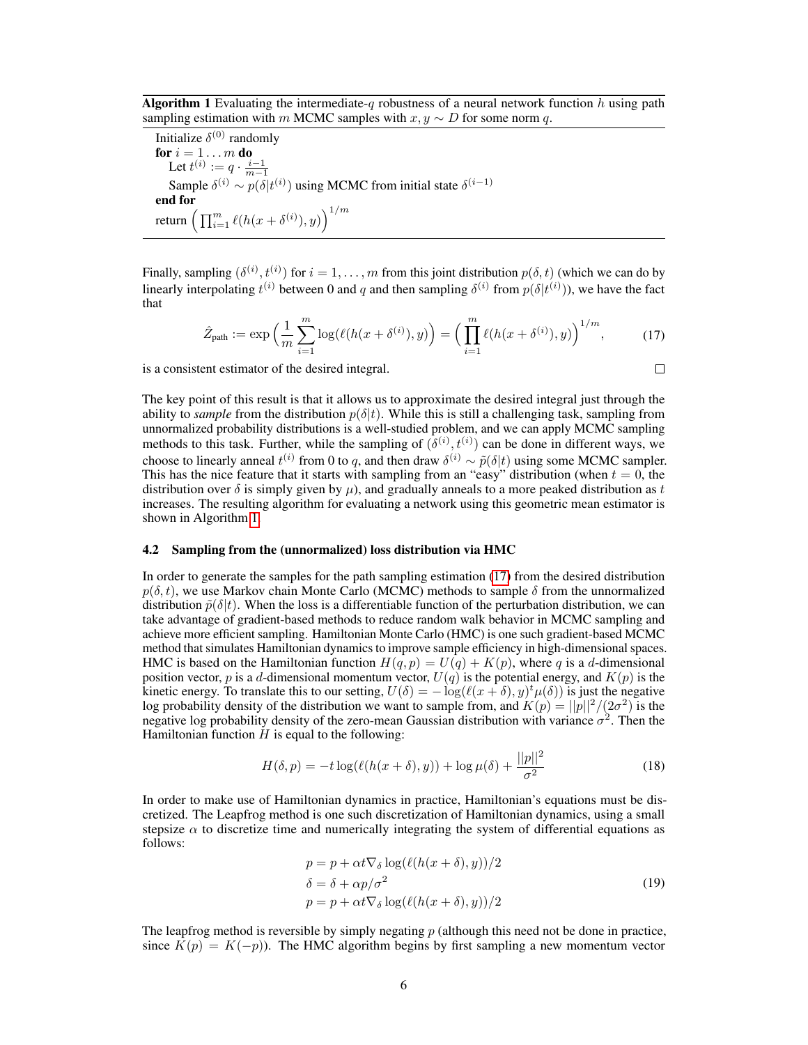Algorithm 1 Evaluating the intermediate-*q* robustness of a neural network function *h* using path sampling estimation with *m* MCMC samples with  $x, y \sim D$  for some norm *q*.

Initialize  $\delta^{(0)}$  randomly for  $i = 1 \ldots m$  do Let  $t^{(i)} := q \cdot \frac{i-1}{m-1}$ Sample  $\delta^{(i)} \sim p(\delta|t^{(i)})$  using MCMC from initial state  $\delta^{(i-1)}$ end for return  $\Big(\prod_{i=1}^m \ell(h(x+\delta^{(i)}),y)\Big)^{1/m}$ 

Finally, sampling  $(\delta^{(i)}, t^{(i)})$  for  $i = 1, \ldots, m$  from this joint distribution  $p(\delta, t)$  (which we can do by linearly interpolating  $t^{(i)}$  between 0 and *q* and then sampling  $\delta^{(i)}$  from  $p(\delta|t^{(i)})$ ), we have the fact that

$$
\hat{Z}_{\text{path}} := \exp\left(\frac{1}{m} \sum_{i=1}^{m} \log(\ell(h(x + \delta^{(i)}), y)\right) = \left(\prod_{i=1}^{m} \ell(h(x + \delta^{(i)}), y)\right)^{1/m},\tag{17}
$$

is a consistent estimator of the desired integral.

$$
\qquad \qquad \Box
$$

The key point of this result is that it allows us to approximate the desired integral just through the ability to *sample* from the distribution  $p(\delta|t)$ . While this is still a challenging task, sampling from unnormalized probability distributions is a well-studied problem, and we can apply MCMC sampling methods to this task. Further, while the sampling of  $(\delta^{(i)}, t^{(i)})$  can be done in different ways, we choose to linearly anneal  $t^{(i)}$  from 0 to *q*, and then draw  $\delta^{(i)} \sim \tilde{p}(\delta|t)$  using some MCMC sampler. This has the nice feature that it starts with sampling from an "easy" distribution (when  $t = 0$ , the distribution over  $\delta$  is simply given by  $\mu$ ), and gradually anneals to a more peaked distribution as t increases. The resulting algorithm for evaluating a network using this geometric mean estimator is shown in Algorithm  $\boxed{1}$ 

#### 4.2 Sampling from the (unnormalized) loss distribution via HMC

In order to generate the samples for the path sampling estimation  $(17)$  from the desired distribution  $p(\delta, t)$ , we use Markov chain Monte Carlo (MCMC) methods to sample  $\delta$  from the unnormalized distribution  $\tilde{p}(\delta|t)$ . When the loss is a differentiable function of the perturbation distribution, we can take advantage of gradient-based methods to reduce random walk behavior in MCMC sampling and achieve more efficient sampling. Hamiltonian Monte Carlo (HMC) is one such gradient-based MCMC method that simulates Hamiltonian dynamics to improve sample efficiency in high-dimensional spaces. HMC is based on the Hamiltonian function  $H(q, p) = U(q) + K(p)$ , where *q* is a *d*-dimensional position vector, *p* is a *d*-dimensional momentum vector,  $U(q)$  is the potential energy, and  $K(p)$  is the kinetic energy. To translate this to our setting,  $U(\delta) = -\log(\ell(x + \delta), y) t \mu(\delta)$  is just the negative log probability density of the distribution we want to sample from, and  $K(p) = ||p||^2/(2\sigma^2)$  is the negative log probability density of the zero-mean Gaussian distribution with variance  $\sigma^2$ . Then the Hamiltonian function  $H$  is equal to the following:

$$
H(\delta, p) = -t \log(\ell(h(x + \delta), y)) + \log \mu(\delta) + \frac{||p||^2}{\sigma^2}
$$
 (18)

In order to make use of Hamiltonian dynamics in practice, Hamiltonian's equations must be discretized. The Leapfrog method is one such discretization of Hamiltonian dynamics, using a small stepsize  $\alpha$  to discretize time and numerically integrating the system of differential equations as follows:

$$
p = p + \alpha t \nabla_{\delta} \log(\ell(h(x + \delta), y))/2
$$
  
\n
$$
\delta = \delta + \alpha p/\sigma^2
$$
  
\n
$$
p = p + \alpha t \nabla_{\delta} \log(\ell(h(x + \delta), y))/2
$$
\n(19)

The leapfrog method is reversible by simply negating *p* (although this need not be done in practice, since  $K(p) = K(-p)$ ). The HMC algorithm begins by first sampling a new momentum vector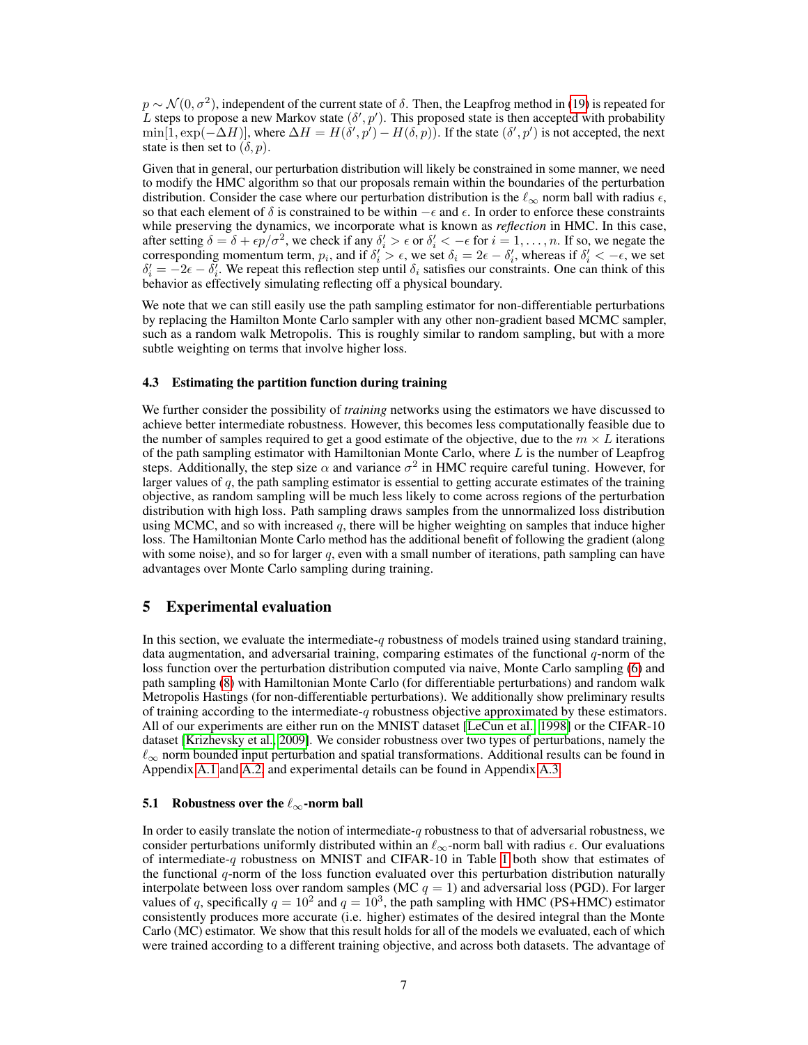$p \sim \mathcal{N}(0, \sigma^2)$ , independent of the current state of  $\delta$ . Then, the Leapfrog method in (19) is repeated for L steps to propose a new Markov state  $(\delta', p')$ . This proposed state is then accepted with probability  $\min[1, \exp(-\Delta H)],$  where  $\Delta H = H(\delta', p') - H(\delta, p)$ . If the state  $(\delta', p')$  is not accepted, the next state is then set to  $(\delta, p)$ .

Given that in general, our perturbation distribution will likely be constrained in some manner, we need to modify the HMC algorithm so that our proposals remain within the boundaries of the perturbation distribution. Consider the case where our perturbation distribution is the  $\ell_{\infty}$  norm ball with radius  $\epsilon$ , so that each element of  $\delta$  is constrained to be within  $-\epsilon$  and  $\epsilon$ . In order to enforce these constraints while preserving the dynamics, we incorporate what is known as *reflection* in HMC. In this case, after setting  $\delta = \delta + \epsilon p/\sigma^2$ , we check if any  $\delta_i' > \epsilon$  or  $\delta_i' < -\epsilon$  for  $i = 1, \ldots, n$ . If so, we negate the corresponding momentum term,  $p_i$ , and if  $\delta_i' > \epsilon$ , we set  $\delta_i = 2\epsilon - \delta_i'$ , whereas if  $\delta_i' < -\epsilon$ , we set  $\delta_i' = -2\epsilon - \delta_i'$ . We repeat this reflection step until  $\delta_i$  satisfies our constraints. One can think of this behavior as effectively simulating reflecting off a physical boundary.

We note that we can still easily use the path sampling estimator for non-differentiable perturbations by replacing the Hamilton Monte Carlo sampler with any other non-gradient based MCMC sampler, such as a random walk Metropolis. This is roughly similar to random sampling, but with a more subtle weighting on terms that involve higher loss.

#### 4.3 Estimating the partition function during training

We further consider the possibility of *training* networks using the estimators we have discussed to achieve better intermediate robustness. However, this becomes less computationally feasible due to the number of samples required to get a good estimate of the objective, due to the  $m \times L$  iterations of the path sampling estimator with Hamiltonian Monte Carlo, where *L* is the number of Leapfrog steps. Additionally, the step size  $\alpha$  and variance  $\sigma^2$  in HMC require careful tuning. However, for larger values of *q*, the path sampling estimator is essential to getting accurate estimates of the training objective, as random sampling will be much less likely to come across regions of the perturbation distribution with high loss. Path sampling draws samples from the unnormalized loss distribution using MCMC, and so with increased *q*, there will be higher weighting on samples that induce higher loss. The Hamiltonian Monte Carlo method has the additional benefit of following the gradient (along with some noise), and so for larger  $q$ , even with a small number of iterations, path sampling can have advantages over Monte Carlo sampling during training.

## 5 Experimental evaluation

In this section, we evaluate the intermediate-*q* robustness of models trained using standard training, data augmentation, and adversarial training, comparing estimates of the functional *q*-norm of the loss function over the perturbation distribution computed via naive, Monte Carlo sampling 6 and path sampling **(8)** with Hamiltonian Monte Carlo (for differentiable perturbations) and random walk Metropolis Hastings (for non-differentiable perturbations). We additionally show preliminary results of training according to the intermediate-*q* robustness objective approximated by these estimators. All of our experiments are either run on the MNIST dataset  $[LeCun et al.]$  [1998] or the CIFAR-10 dataset **[Krizhevsky et al.**, 2009]. We consider robustness over two types of perturbations, namely the  $\ell_{\infty}$  norm bounded input perturbation and spatial transformations. Additional results can be found in Appendix  $A.1$  and  $A.2$  and experimental details can be found in Appendix  $A.3$ 

#### 5.1 Robustness over the  $\ell_{\infty}$ -norm ball

In order to easily translate the notion of intermediate-*q* robustness to that of adversarial robustness, we consider perturbations uniformly distributed within an  $\ell_{\infty}$ -norm ball with radius  $\epsilon$ . Our evaluations of intermediate-q robustness on MNIST and CIFAR-10 in Table  $|1|$  both show that estimates of the functional *q*-norm of the loss function evaluated over this perturbation distribution naturally interpolate between loss over random samples ( $MC q = 1$ ) and adversarial loss (PGD). For larger values of *q*, specifically  $q = 10^2$  and  $q = 10^3$ , the path sampling with HMC (PS+HMC) estimator consistently produces more accurate (i.e. higher) estimates of the desired integral than the Monte Carlo (MC) estimator. We show that this result holds for all of the models we evaluated, each of which were trained according to a different training objective, and across both datasets. The advantage of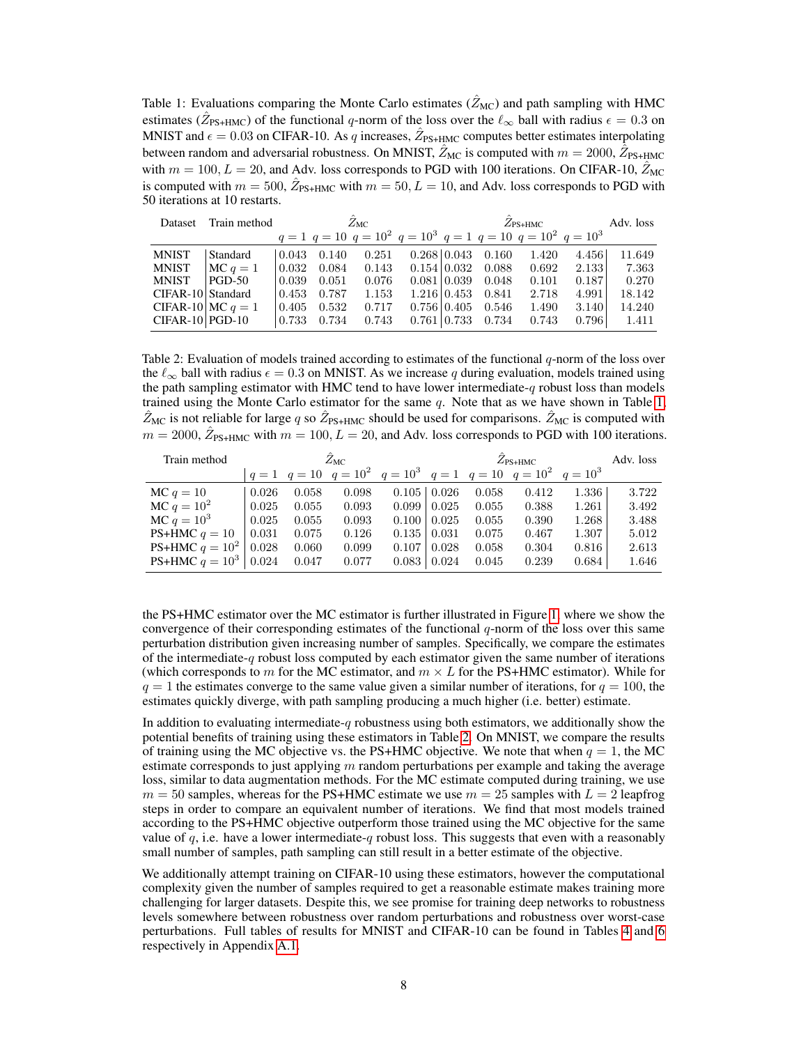Table 1: Evaluations comparing the Monte Carlo estimates  $(\hat{Z}_{MC})$  and path sampling with HMC estimates ( $\hat{Z}_{PS+HMC}$ ) of the functional *q*-norm of the loss over the  $\ell_{\infty}$  ball with radius  $\epsilon = 0.3$  on MNIST and  $\epsilon = 0.03$  on CIFAR-10. As *q* increases,  $Z_{PS+HMC}$  computes better estimates interpolating between random and adversarial robustness. On MNIST,  $\hat{Z}_{MC}$  is computed with  $m = 2000$ ,  $\hat{Z}_{PS+HMC}$ with  $m = 100, L = 20$ , and Adv. loss corresponds to PGD with 100 iterations. On CIFAR-10,  $\hat{Z}_{MC}$ is computed with  $m = 500$ ,  $\hat{Z}_{PS+HMC}$  with  $m = 50$ ,  $L = 10$ , and Adv. loss corresponds to PGD with 50 iterations at 10 restarts.

| Dataset             | Train method  | $Z_{\rm MC}$ |       |                                                                               |  | $Z_{\rm PS+HMC}$    |       |       |       | Adv. loss |
|---------------------|---------------|--------------|-------|-------------------------------------------------------------------------------|--|---------------------|-------|-------|-------|-----------|
|                     |               |              |       | $q = 1$ $q = 10$ $q = 10^2$ $q = 10^3$ $q = 1$ $q = 10$ $q = 10^2$ $q = 10^3$ |  |                     |       |       |       |           |
| <b>MNIST</b>        | Standard      | 0.043        | 0.140 | 0.251                                                                         |  | $0.268 \mid 0.043$  | 0.160 | 1.420 | 4.456 | 11.649    |
| <b>MNIST</b>        | $MC q = 1$    | 0.032        | 0.084 | 0.143                                                                         |  | $0.154 \, \, 0.032$ | 0.088 | 0.692 | 2.133 | 7.363     |
| <b>MNIST</b>        | <b>PGD-50</b> | 0.039        | 0.051 | 0.076                                                                         |  | 0.081 0.039         | 0.048 | 0.101 | 0.187 | 0.270     |
| CIFAR-10 Standard   |               | 0.453        | 0.787 | 1.153                                                                         |  | $1.216 \mid 0.453$  | 0.841 | 2.718 | 4.991 | 18.142    |
| CIFAR-10 MC $q = 1$ |               | 0.405        | 0.532 | 0.717                                                                         |  | $0.756 \, \, 0.405$ | 0.546 | 1.490 | 3.140 | 14.240    |
| $CIFAR-10 PGD-10$   |               | 0.733        | 0.734 | 0.743                                                                         |  | $0.761 \, \, 0.733$ | 0.734 | 0.743 | 0.796 | 1.411     |

Table 2: Evaluation of models trained according to estimates of the functional *q*-norm of the loss over the  $\ell_{\infty}$  ball with radius  $\epsilon = 0.3$  on MNIST. As we increase *q* during evaluation, models trained using the path sampling estimator with HMC tend to have lower intermediate-*q* robust loss than models trained using the Monte Carlo estimator for the same q. Note that as we have shown in Table  $\boxed{1}$ ,  $\bar{Z}_{MC}$  is not reliable for large *q* so  $\bar{Z}_{PS+HMC}$  should be used for comparisons.  $\bar{Z}_{MC}$  is computed with  $m = 2000$ ,  $\hat{Z}_{PS+HMC}$  with  $m = 100$ ,  $L = 20$ , and Adv. loss corresponds to PGD with 100 iterations.

| Train method                     | $Z_{\rm MC}$ |       |                                                                               |                    |       | Adv. loss |       |       |       |
|----------------------------------|--------------|-------|-------------------------------------------------------------------------------|--------------------|-------|-----------|-------|-------|-------|
|                                  |              |       | $q = 1$ $q = 10$ $q = 10^2$ $q = 10^3$ $q = 1$ $q = 10$ $q = 10^2$ $q = 10^3$ |                    |       |           |       |       |       |
| $MC q = 10$                      | 0.026        | 0.058 | 0.098                                                                         | $0.105 \mid 0.026$ |       | 0.058     | 0.412 | 1.336 | 3.722 |
| $MC q = 10^2$                    | 0.025        | 0.055 | 0.093                                                                         | 0.099              | 0.025 | 0.055     | 0.388 | 1.261 | 3.492 |
| $MC q = 10^3$                    | 0.025        | 0.055 | 0.093                                                                         | 0.100              | 0.025 | 0.055     | 0.390 | 1.268 | 3.488 |
| PS+HMC $q = 10$                  | 0.031        | 0.075 | 0.126                                                                         | 0.135              | 0.031 | 0.075     | 0.467 | 1.307 | 5.012 |
| <b>PS+HMC</b> $q = 10^2$         | 0.028        | 0.060 | 0.099                                                                         | 0.107              | 0.028 | 0.058     | 0.304 | 0.816 | 2.613 |
| <b>PS+HMC</b> $q = 10^3   0.024$ |              | 0.047 | 0.077                                                                         | 0.083              | 0.024 | 0.045     | 0.239 | 0.684 | 1.646 |

the PS+HMC estimator over the MC estimator is further illustrated in Figure  $\prod$ , where we show the convergence of their corresponding estimates of the functional *q*-norm of the loss over this same perturbation distribution given increasing number of samples. Specifically, we compare the estimates of the intermediate-*q* robust loss computed by each estimator given the same number of iterations (which corresponds to *m* for the MC estimator, and  $m \times L$  for the PS+HMC estimator). While for  $q = 1$  the estimates converge to the same value given a similar number of iterations, for  $q = 100$ , the estimates quickly diverge, with path sampling producing a much higher (i.e. better) estimate.

In addition to evaluating intermediate-*q* robustness using both estimators, we additionally show the potential benefits of training using these estimators in Table  $\overline{2}$ . On MNIST, we compare the results of training using the MC objective vs. the PS+HMC objective. We note that when  $q = 1$ , the MC estimate corresponds to just applying *m* random perturbations per example and taking the average loss, similar to data augmentation methods. For the MC estimate computed during training, we use  $m = 50$  samples, whereas for the PS+HMC estimate we use  $m = 25$  samples with  $L = 2$  leapfrog steps in order to compare an equivalent number of iterations. We find that most models trained according to the PS+HMC objective outperform those trained using the MC objective for the same value of  $q$ , i.e. have a lower intermediate- $q$  robust loss. This suggests that even with a reasonably small number of samples, path sampling can still result in a better estimate of the objective.

We additionally attempt training on CIFAR-10 using these estimators, however the computational complexity given the number of samples required to get a reasonable estimate makes training more challenging for larger datasets. Despite this, we see promise for training deep networks to robustness levels somewhere between robustness over random perturbations and robustness over worst-case perturbations. Full tables of results for MNIST and CIFAR-10 can be found in Tables  $\overline{4}$  and  $\overline{6}$ respectively in Appendix  $\boxed{A.1}$ .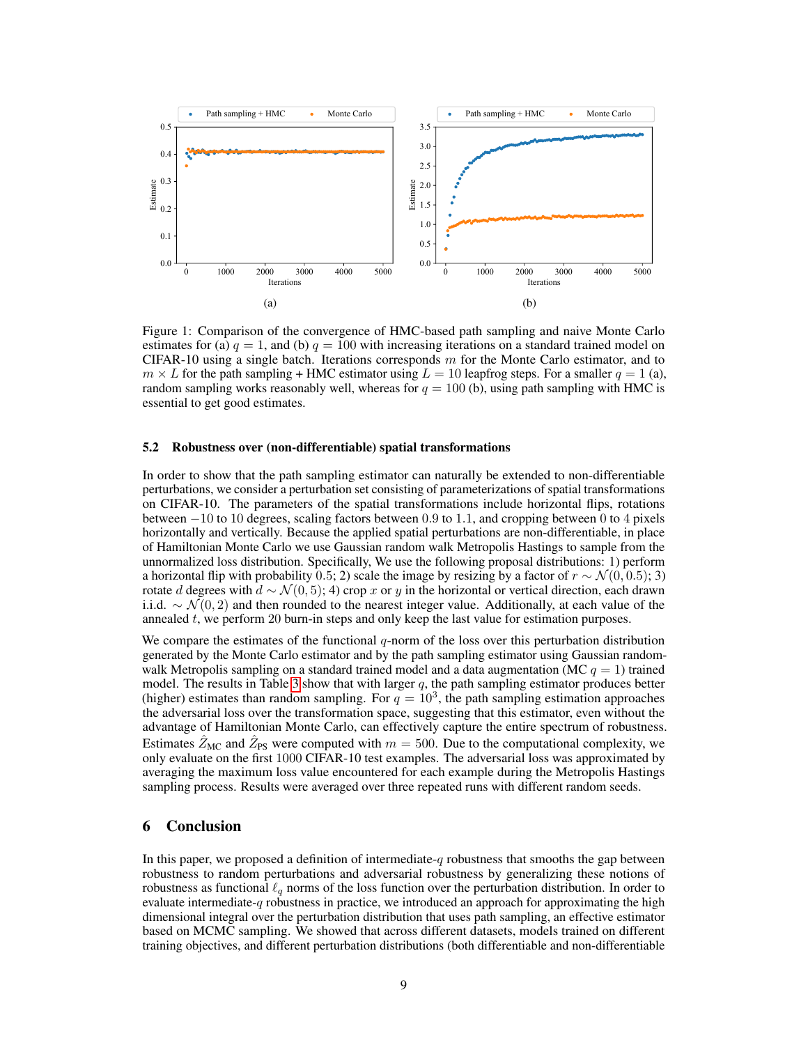

Figure 1: Comparison of the convergence of HMC-based path sampling and naive Monte Carlo estimates for (a)  $q = 1$ , and (b)  $q = 100$  with increasing iterations on a standard trained model on CIFAR-10 using a single batch. Iterations corresponds *m* for the Monte Carlo estimator, and to  $m \times L$  for the path sampling + HMC estimator using  $L = 10$  leapfrog steps. For a smaller  $q = 1$  (a), random sampling works reasonably well, whereas for  $q = 100$  (b), using path sampling with HMC is essential to get good estimates.

#### 5.2 Robustness over (non-differentiable) spatial transformations

In order to show that the path sampling estimator can naturally be extended to non-differentiable perturbations, we consider a perturbation set consisting of parameterizations of spatial transformations on CIFAR-10. The parameters of the spatial transformations include horizontal flips, rotations between 10 to 10 degrees, scaling factors between 0*.*9 to 1*.*1, and cropping between 0 to 4 pixels horizontally and vertically. Because the applied spatial perturbations are non-differentiable, in place of Hamiltonian Monte Carlo we use Gaussian random walk Metropolis Hastings to sample from the unnormalized loss distribution. Specifically, We use the following proposal distributions: 1) perform a horizontal flip with probability 0.5; 2) scale the image by resizing by a factor of  $r \sim \mathcal{N}(0, 0.5)$ ; 3) rotate *d* degrees with  $d \sim \mathcal{N}(0, 5)$ ; 4) crop *x* or *y* in the horizontal or vertical direction, each drawn i.i.d.  $\sim \mathcal{N}(0, 2)$  and then rounded to the nearest integer value. Additionally, at each value of the annealed *t*, we perform 20 burn-in steps and only keep the last value for estimation purposes.

We compare the estimates of the functional *q*-norm of the loss over this perturbation distribution generated by the Monte Carlo estimator and by the path sampling estimator using Gaussian randomwalk Metropolis sampling on a standard trained model and a data augmentation (MC  $q = 1$ ) trained model. The results in Table  $\overline{3}$  show that with larger *q*, the path sampling estimator produces better (higher) estimates than random sampling. For  $q = 10<sup>3</sup>$ , the path sampling estimation approaches the adversarial loss over the transformation space, suggesting that this estimator, even without the advantage of Hamiltonian Monte Carlo, can effectively capture the entire spectrum of robustness. Estimates  $Z_{MC}$  and  $Z_{PS}$  were computed with  $m = 500$ . Due to the computational complexity, we only evaluate on the first 1000 CIFAR-10 test examples. The adversarial loss was approximated by averaging the maximum loss value encountered for each example during the Metropolis Hastings sampling process. Results were averaged over three repeated runs with different random seeds.

## 6 Conclusion

In this paper, we proposed a definition of intermediate-*q* robustness that smooths the gap between robustness to random perturbations and adversarial robustness by generalizing these notions of robustness as functional  $\ell_q$  norms of the loss function over the perturbation distribution. In order to evaluate intermediate-*q* robustness in practice, we introduced an approach for approximating the high dimensional integral over the perturbation distribution that uses path sampling, an effective estimator based on MCMC sampling. We showed that across different datasets, models trained on different training objectives, and different perturbation distributions (both differentiable and non-differentiable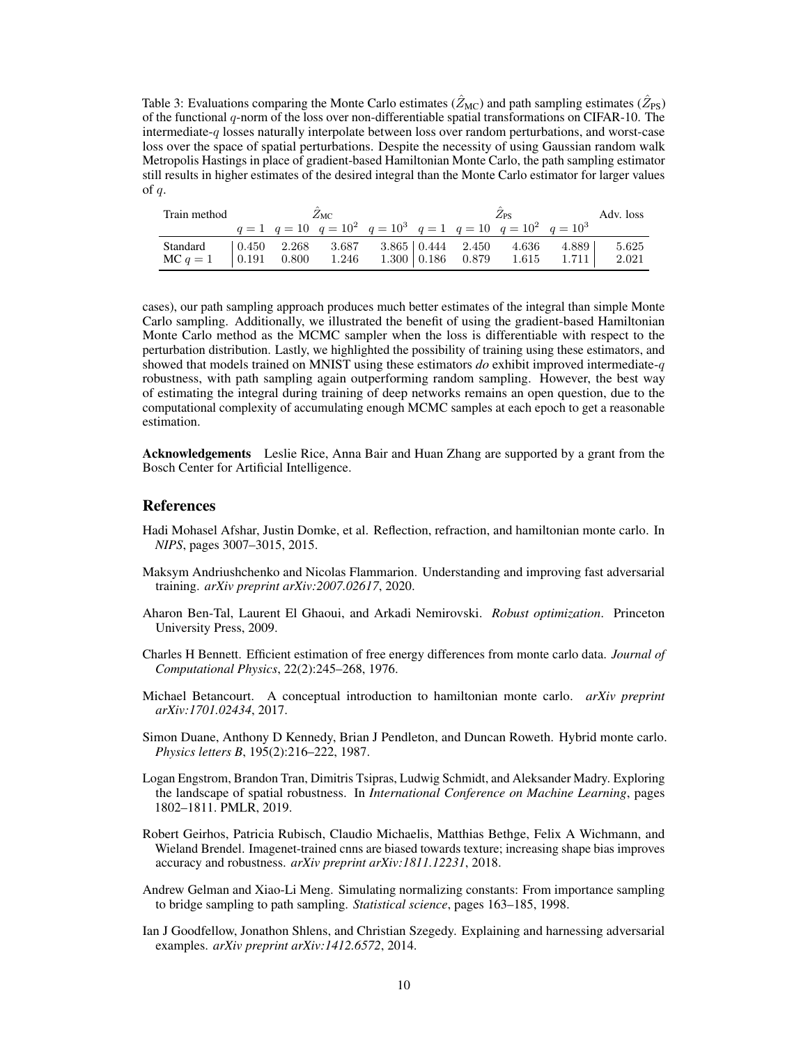Table 3: Evaluations comparing the Monte Carlo estimates ( $\hat{Z}_{MC}$ ) and path sampling estimates ( $\hat{Z}_{PS}$ ) of the functional *q*-norm of the loss over non-differentiable spatial transformations on CIFAR-10. The intermediate-*q* losses naturally interpolate between loss over random perturbations, and worst-case loss over the space of spatial perturbations. Despite the necessity of using Gaussian random walk Metropolis Hastings in place of gradient-based Hamiltonian Monte Carlo, the path sampling estimator still results in higher estimates of the desired integral than the Monte Carlo estimator for larger values of *q*.

| Train method                                                                                                                             |  | $Z_{\rm MC}$ |  | Adv. loss                                                                     |  |       |
|------------------------------------------------------------------------------------------------------------------------------------------|--|--------------|--|-------------------------------------------------------------------------------|--|-------|
|                                                                                                                                          |  |              |  | $q = 1$ $q = 10$ $q = 10^2$ $q = 10^3$ $q = 1$ $q = 10$ $q = 10^2$ $q = 10^3$ |  |       |
| Standard   0.450 2.268 3.687 3.865   0.444 2.450 4.636 4.889  <br>MC $q = 1$   0.191 0.800 1.246 1.300   0.186 0.879 1.615 1.711   2.021 |  |              |  |                                                                               |  | 5.625 |

cases), our path sampling approach produces much better estimates of the integral than simple Monte Carlo sampling. Additionally, we illustrated the benefit of using the gradient-based Hamiltonian Monte Carlo method as the MCMC sampler when the loss is differentiable with respect to the perturbation distribution. Lastly, we highlighted the possibility of training using these estimators, and showed that models trained on MNIST using these estimators *do* exhibit improved intermediate-*q* robustness, with path sampling again outperforming random sampling. However, the best way of estimating the integral during training of deep networks remains an open question, due to the computational complexity of accumulating enough MCMC samples at each epoch to get a reasonable estimation.

Acknowledgements Leslie Rice, Anna Bair and Huan Zhang are supported by a grant from the Bosch Center for Artificial Intelligence.

## **References**

- Hadi Mohasel Afshar, Justin Domke, et al. Reflection, refraction, and hamiltonian monte carlo. In *NIPS*, pages 3007–3015, 2015.
- Maksym Andriushchenko and Nicolas Flammarion. Understanding and improving fast adversarial training. *arXiv preprint arXiv:2007.02617*, 2020.
- Aharon Ben-Tal, Laurent El Ghaoui, and Arkadi Nemirovski. *Robust optimization*. Princeton University Press, 2009.
- Charles H Bennett. Efficient estimation of free energy differences from monte carlo data. *Journal of Computational Physics*, 22(2):245–268, 1976.
- Michael Betancourt. A conceptual introduction to hamiltonian monte carlo. *arXiv preprint arXiv:1701.02434*, 2017.
- Simon Duane, Anthony D Kennedy, Brian J Pendleton, and Duncan Roweth. Hybrid monte carlo. *Physics letters B*, 195(2):216–222, 1987.
- Logan Engstrom, Brandon Tran, Dimitris Tsipras, Ludwig Schmidt, and Aleksander Madry. Exploring the landscape of spatial robustness. In *International Conference on Machine Learning*, pages 1802–1811. PMLR, 2019.
- Robert Geirhos, Patricia Rubisch, Claudio Michaelis, Matthias Bethge, Felix A Wichmann, and Wieland Brendel. Imagenet-trained cnns are biased towards texture; increasing shape bias improves accuracy and robustness. *arXiv preprint arXiv:1811.12231*, 2018.
- Andrew Gelman and Xiao-Li Meng. Simulating normalizing constants: From importance sampling to bridge sampling to path sampling. *Statistical science*, pages 163–185, 1998.
- Ian J Goodfellow, Jonathon Shlens, and Christian Szegedy. Explaining and harnessing adversarial examples. *arXiv preprint arXiv:1412.6572*, 2014.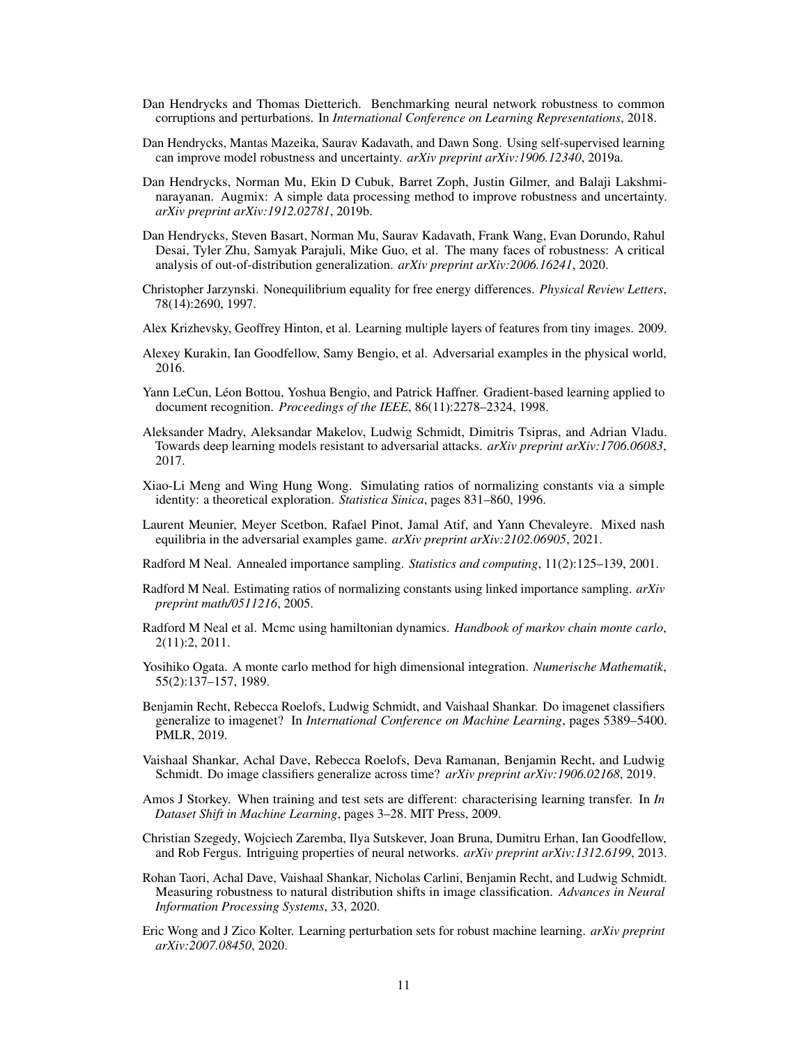- Dan Hendrycks and Thomas Dietterich. Benchmarking neural network robustness to common corruptions and perturbations. In *International Conference on Learning Representations*, 2018.
- Dan Hendrycks, Mantas Mazeika, Saurav Kadavath, and Dawn Song. Using self-supervised learning can improve model robustness and uncertainty. *arXiv preprint arXiv:1906.12340*, 2019a.
- Dan Hendrycks, Norman Mu, Ekin D Cubuk, Barret Zoph, Justin Gilmer, and Balaji Lakshminarayanan. Augmix: A simple data processing method to improve robustness and uncertainty. *arXiv preprint arXiv:1912.02781*, 2019b.
- Dan Hendrycks, Steven Basart, Norman Mu, Saurav Kadavath, Frank Wang, Evan Dorundo, Rahul Desai, Tyler Zhu, Samyak Parajuli, Mike Guo, et al. The many faces of robustness: A critical analysis of out-of-distribution generalization. *arXiv preprint arXiv:2006.16241*, 2020.
- Christopher Jarzynski. Nonequilibrium equality for free energy differences. *Physical Review Letters*, 78(14):2690, 1997.
- Alex Krizhevsky, Geoffrey Hinton, et al. Learning multiple layers of features from tiny images. 2009.
- Alexey Kurakin, Ian Goodfellow, Samy Bengio, et al. Adversarial examples in the physical world, 2016.
- Yann LeCun, Léon Bottou, Yoshua Bengio, and Patrick Haffner. Gradient-based learning applied to document recognition. *Proceedings of the IEEE*, 86(11):2278–2324, 1998.
- Aleksander Madry, Aleksandar Makelov, Ludwig Schmidt, Dimitris Tsipras, and Adrian Vladu. Towards deep learning models resistant to adversarial attacks. *arXiv preprint arXiv:1706.06083*, 2017.
- Xiao-Li Meng and Wing Hung Wong. Simulating ratios of normalizing constants via a simple identity: a theoretical exploration. *Statistica Sinica*, pages 831–860, 1996.
- Laurent Meunier, Meyer Scetbon, Rafael Pinot, Jamal Atif, and Yann Chevaleyre. Mixed nash equilibria in the adversarial examples game. *arXiv preprint arXiv:2102.06905*, 2021.
- Radford M Neal. Annealed importance sampling. *Statistics and computing*, 11(2):125–139, 2001.
- Radford M Neal. Estimating ratios of normalizing constants using linked importance sampling. *arXiv preprint math/0511216*, 2005.
- Radford M Neal et al. Mcmc using hamiltonian dynamics. *Handbook of markov chain monte carlo*, 2(11):2, 2011.
- Yosihiko Ogata. A monte carlo method for high dimensional integration. *Numerische Mathematik*, 55(2):137–157, 1989.
- Benjamin Recht, Rebecca Roelofs, Ludwig Schmidt, and Vaishaal Shankar. Do imagenet classifiers generalize to imagenet? In *International Conference on Machine Learning*, pages 5389–5400. PMLR, 2019.
- Vaishaal Shankar, Achal Dave, Rebecca Roelofs, Deva Ramanan, Benjamin Recht, and Ludwig Schmidt. Do image classifiers generalize across time? *arXiv preprint arXiv:1906.02168*, 2019.
- Amos J Storkey. When training and test sets are different: characterising learning transfer. In *In Dataset Shift in Machine Learning*, pages 3–28. MIT Press, 2009.
- Christian Szegedy, Wojciech Zaremba, Ilya Sutskever, Joan Bruna, Dumitru Erhan, Ian Goodfellow, and Rob Fergus. Intriguing properties of neural networks. *arXiv preprint arXiv:1312.6199*, 2013.
- Rohan Taori, Achal Dave, Vaishaal Shankar, Nicholas Carlini, Benjamin Recht, and Ludwig Schmidt. Measuring robustness to natural distribution shifts in image classification. *Advances in Neural Information Processing Systems*, 33, 2020.
- Eric Wong and J Zico Kolter. Learning perturbation sets for robust machine learning. *arXiv preprint arXiv:2007.08450*, 2020.